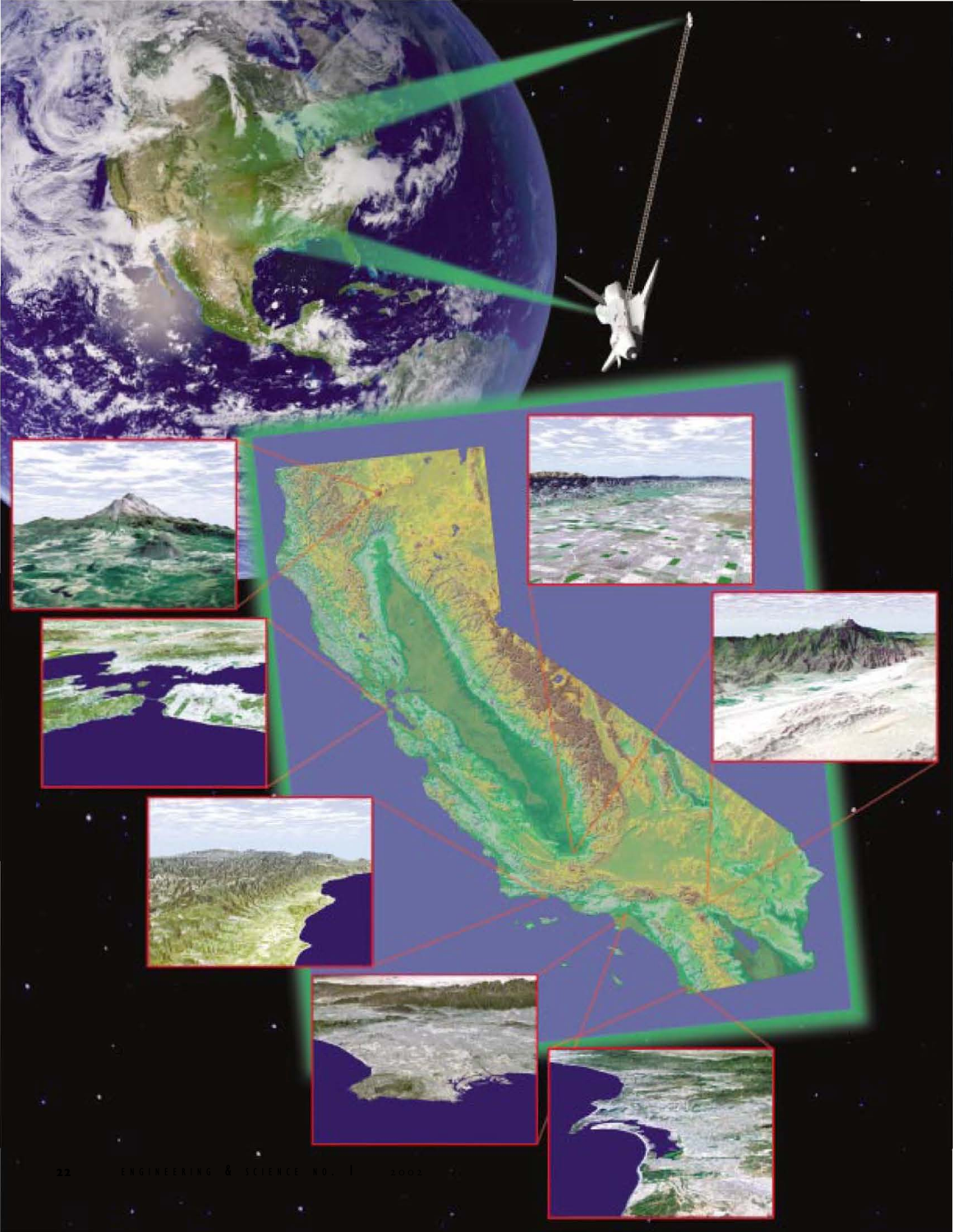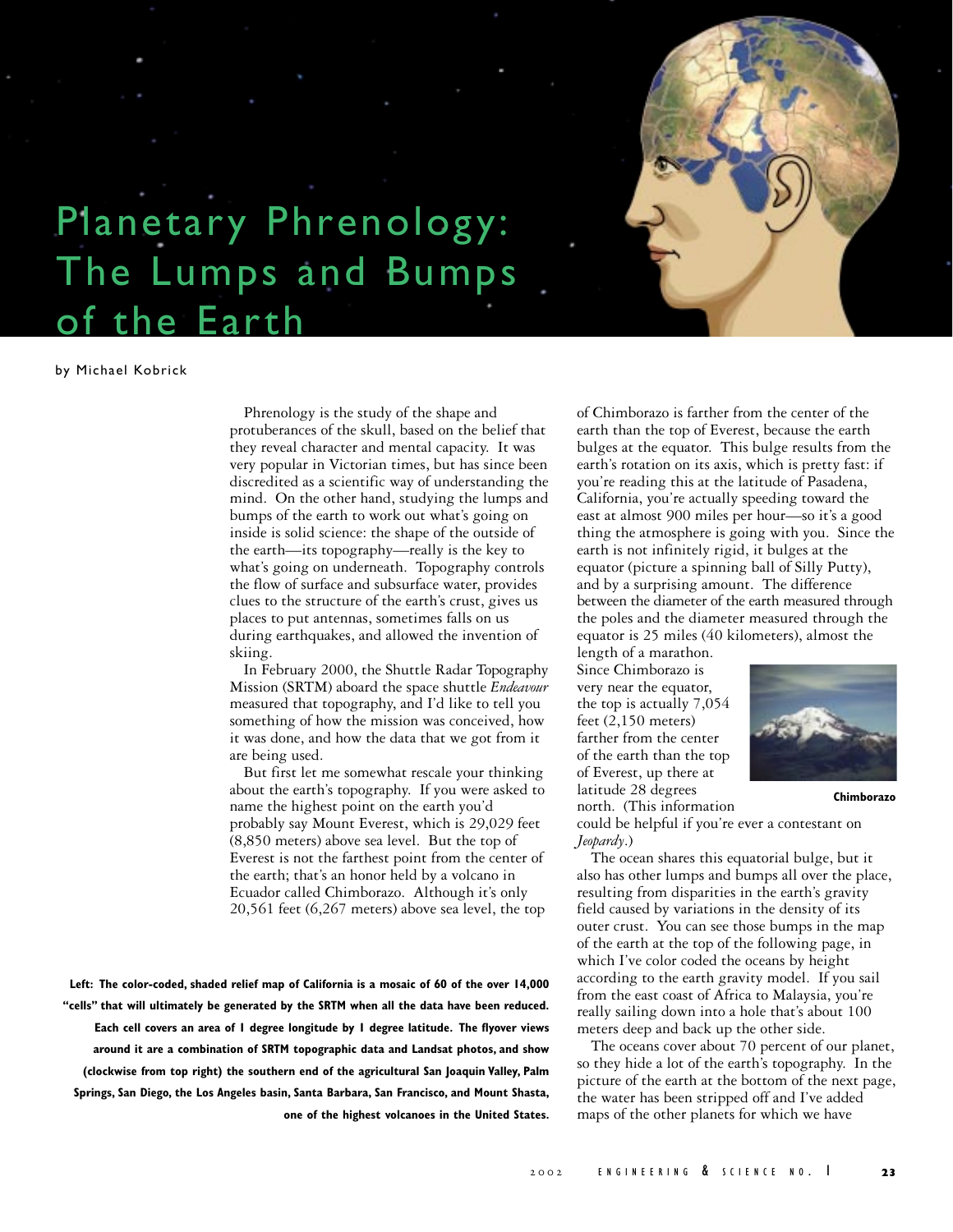

## Planetary Phrenology: The Lumps and Bumps of the Earth

by Michael Kobrick

Phrenology is the study of the shape and protuberances of the skull, based on the belief that they reveal character and mental capacity. It was very popular in Victorian times, but has since been discredited as a scientific way of understanding the mind. On the other hand, studying the lumps and bumps of the earth to work out what's going on inside is solid science: the shape of the outside of the earth—its topography—really is the key to what's going on underneath. Topography controls the flow of surface and subsurface water, provides clues to the structure of the earth's crust, gives us places to put antennas, sometimes falls on us during earthquakes, and allowed the invention of skiing.

In February 2000, the Shuttle Radar Topography Mission (SRTM) aboard the space shuttle *Endeavour* measured that topography, and I'd like to tell you something of how the mission was conceived, how it was done, and how the data that we got from it are being used.

But first let me somewhat rescale your thinking about the earth's topography. If you were asked to name the highest point on the earth you'd probably say Mount Everest, which is 29,029 feet (8,850 meters) above sea level. But the top of Everest is not the farthest point from the center of the earth; that's an honor held by a volcano in Ecuador called Chimborazo. Although it's only 20,561 feet (6,267 meters) above sea level, the top

**Left: The color-coded, shaded relief map of California is a mosaic of 60 of the over 14,000 "cells" that will ultimately be generated by the SRTM when all the data have been reduced. Each cell covers an area of 1 degree longitude by 1 degree latitude. The flyover views around it are a combination of SRTM topographic data and Landsat photos, and show (clockwise from top right) the southern end of the agricultural San Joaquin Valley, Palm Springs, San Diego, the Los Angeles basin, Santa Barbara, San Francisco, and Mount Shasta, one of the highest volcanoes in the United States.**

of Chimborazo is farther from the center of the earth than the top of Everest, because the earth bulges at the equator. This bulge results from the earth's rotation on its axis, which is pretty fast: if you're reading this at the latitude of Pasadena, California, you're actually speeding toward the east at almost 900 miles per hour—so it's a good thing the atmosphere is going with you. Since the earth is not infinitely rigid, it bulges at the equator (picture a spinning ball of Silly Putty), and by a surprising amount. The difference between the diameter of the earth measured through the poles and the diameter measured through the equator is 25 miles (40 kilometers), almost the length of a marathon.

Since Chimborazo is very near the equator, the top is actually 7,054 feet (2,150 meters) farther from the center of the earth than the top of Everest, up there at latitude 28 degrees north. (This information



**Chimborazo**

could be helpful if you're ever a contestant on *Jeopardy*.)

The ocean shares this equatorial bulge, but it also has other lumps and bumps all over the place, resulting from disparities in the earth's gravity field caused by variations in the density of its outer crust. You can see those bumps in the map of the earth at the top of the following page, in which I've color coded the oceans by height according to the earth gravity model. If you sail from the east coast of Africa to Malaysia, you're really sailing down into a hole that's about 100 meters deep and back up the other side.

The oceans cover about 70 percent of our planet, so they hide a lot of the earth's topography. In the picture of the earth at the bottom of the next page, the water has been stripped off and I've added maps of the other planets for which we have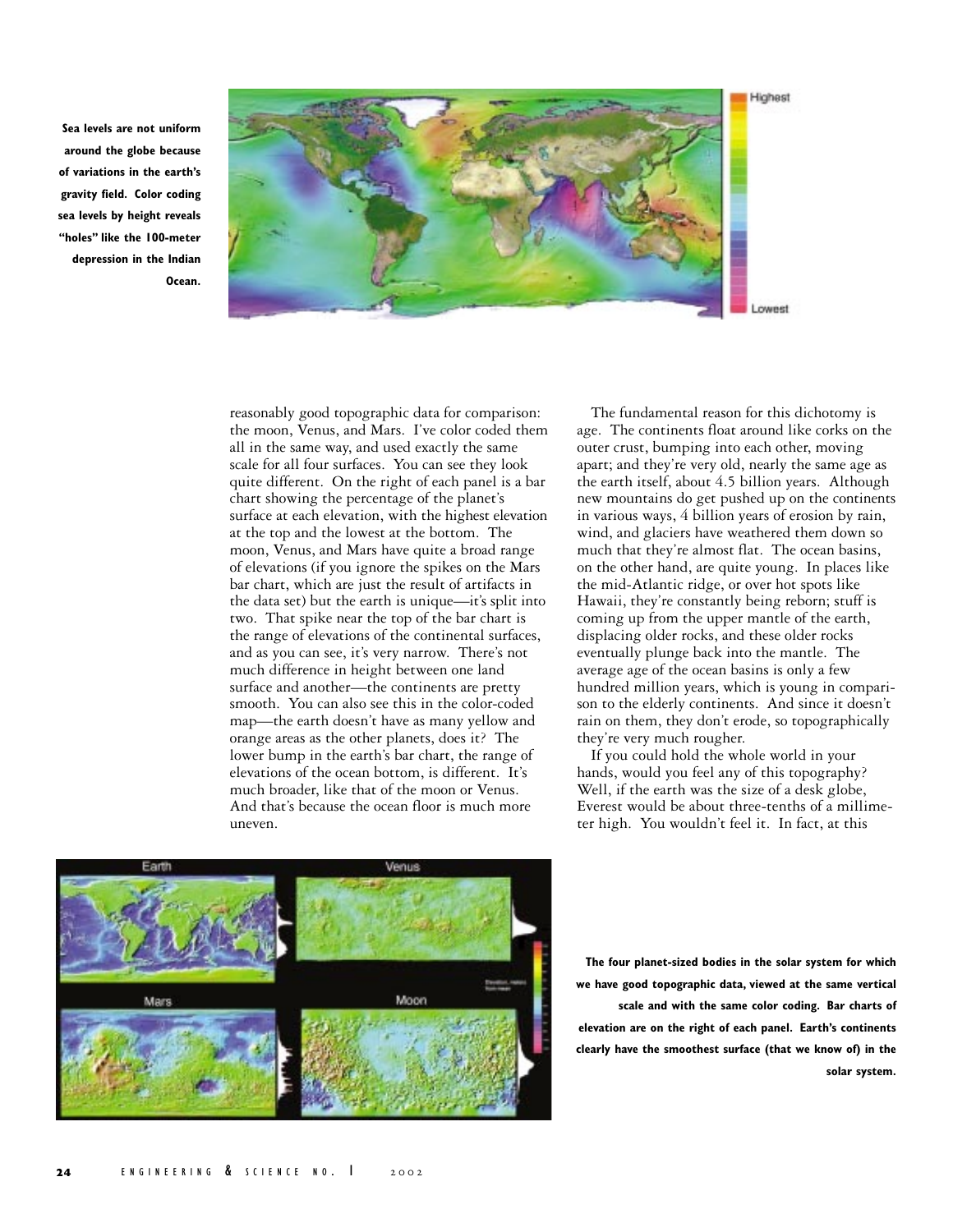**Sea levels are not uniform around the globe because of variations in the earth's gravity field. Color coding sea levels by height reveals "holes" like the 100-meter depression in the Indian Ocean.**



reasonably good topographic data for comparison: the moon, Venus, and Mars. I've color coded them all in the same way, and used exactly the same scale for all four surfaces. You can see they look quite different. On the right of each panel is a bar chart showing the percentage of the planet's surface at each elevation, with the highest elevation at the top and the lowest at the bottom. The moon, Venus, and Mars have quite a broad range of elevations (if you ignore the spikes on the Mars bar chart, which are just the result of artifacts in the data set) but the earth is unique—it's split into two. That spike near the top of the bar chart is the range of elevations of the continental surfaces, and as you can see, it's very narrow. There's not much difference in height between one land surface and another—the continents are pretty smooth. You can also see this in the color-coded map—the earth doesn't have as many yellow and orange areas as the other planets, does it? The lower bump in the earth's bar chart, the range of elevations of the ocean bottom, is different. It's much broader, like that of the moon or Venus. And that's because the ocean floor is much more uneven.

The fundamental reason for this dichotomy is age. The continents float around like corks on the outer crust, bumping into each other, moving apart; and they're very old, nearly the same age as the earth itself, about 4.5 billion years. Although new mountains do get pushed up on the continents in various ways, 4 billion years of erosion by rain, wind, and glaciers have weathered them down so much that they're almost flat. The ocean basins, on the other hand, are quite young. In places like the mid-Atlantic ridge, or over hot spots like Hawaii, they're constantly being reborn; stuff is coming up from the upper mantle of the earth, displacing older rocks, and these older rocks eventually plunge back into the mantle. The average age of the ocean basins is only a few hundred million years, which is young in comparison to the elderly continents. And since it doesn't rain on them, they don't erode, so topographically they're very much rougher.

If you could hold the whole world in your hands, would you feel any of this topography? Well, if the earth was the size of a desk globe, Everest would be about three-tenths of a millimeter high. You wouldn't feel it. In fact, at this



**The four planet-sized bodies in the solar system for which we have good topographic data, viewed at the same vertical scale and with the same color coding. Bar charts of elevation are on the right of each panel. Earth's continents clearly have the smoothest surface (that we know of) in the solar system.**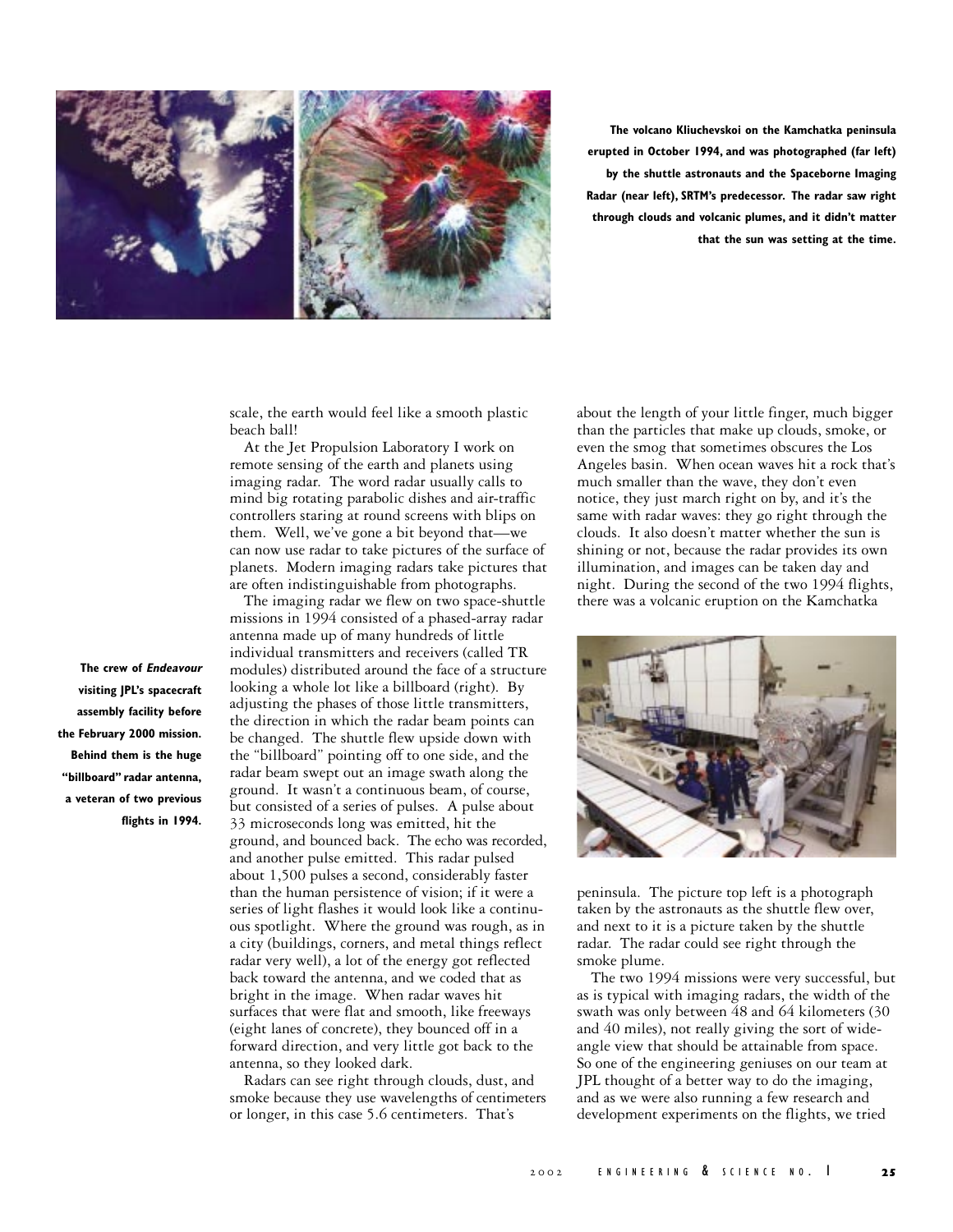

**The volcano Kliuchevskoi on the Kamchatka peninsula erupted in October 1994, and was photographed (far left) by the shuttle astronauts and the Spaceborne Imaging Radar (near left), SRTM's predecessor. The radar saw right through clouds and volcanic plumes, and it didn't matter that the sun was setting at the time.**

scale, the earth would feel like a smooth plastic beach ball!

At the Jet Propulsion Laboratory I work on remote sensing of the earth and planets using imaging radar. The word radar usually calls to mind big rotating parabolic dishes and air-traffic controllers staring at round screens with blips on them. Well, we've gone a bit beyond that—we can now use radar to take pictures of the surface of planets. Modern imaging radars take pictures that are often indistinguishable from photographs.

The imaging radar we flew on two space-shuttle missions in 1994 consisted of a phased-array radar antenna made up of many hundreds of little individual transmitters and receivers (called TR modules) distributed around the face of a structure looking a whole lot like a billboard (right). By adjusting the phases of those little transmitters, the direction in which the radar beam points can be changed. The shuttle flew upside down with the "billboard" pointing off to one side, and the radar beam swept out an image swath along the ground. It wasn't a continuous beam, of course, but consisted of a series of pulses. A pulse about 33 microseconds long was emitted, hit the ground, and bounced back. The echo was recorded, and another pulse emitted. This radar pulsed about 1,500 pulses a second, considerably faster than the human persistence of vision; if it were a series of light flashes it would look like a continuous spotlight. Where the ground was rough, as in a city (buildings, corners, and metal things reflect radar very well), a lot of the energy got reflected back toward the antenna, and we coded that as bright in the image. When radar waves hit surfaces that were flat and smooth, like freeways (eight lanes of concrete), they bounced off in a forward direction, and very little got back to the antenna, so they looked dark.

Radars can see right through clouds, dust, and smoke because they use wavelengths of centimeters or longer, in this case 5.6 centimeters. That's

about the length of your little finger, much bigger than the particles that make up clouds, smoke, or even the smog that sometimes obscures the Los Angeles basin. When ocean waves hit a rock that's much smaller than the wave, they don't even notice, they just march right on by, and it's the same with radar waves: they go right through the clouds. It also doesn't matter whether the sun is shining or not, because the radar provides its own illumination, and images can be taken day and night. During the second of the two 1994 flights, there was a volcanic eruption on the Kamchatka



peninsula. The picture top left is a photograph taken by the astronauts as the shuttle flew over, and next to it is a picture taken by the shuttle radar. The radar could see right through the smoke plume.

The two 1994 missions were very successful, but as is typical with imaging radars, the width of the swath was only between 48 and 64 kilometers (30 and 40 miles), not really giving the sort of wideangle view that should be attainable from space. So one of the engineering geniuses on our team at JPL thought of a better way to do the imaging, and as we were also running a few research and development experiments on the flights, we tried

**The crew of Endeavour visiting JPL's spacecraft assembly facility before the February 2000 mission. Behind them is the huge "billboard" radar antenna, a veteran of two previous flights in 1994.**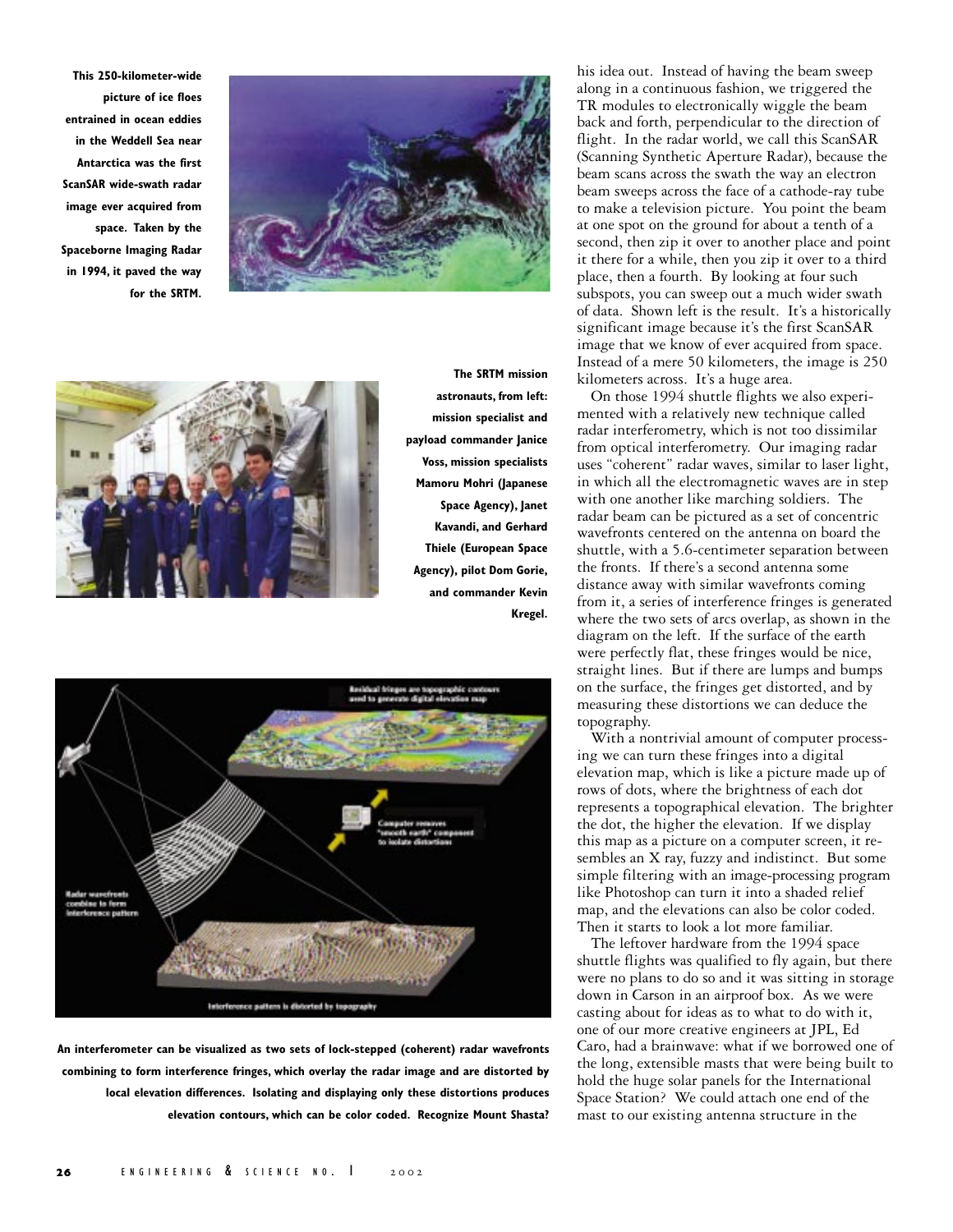**This 250-kilometer-wide picture of ice floes entrained in ocean eddies in the Weddell Sea near Antarctica was the first ScanSAR wide-swath radar image ever acquired from space. Taken by the Spaceborne Imaging Radar in 1994, it paved the way for the SRTM.**





**The SRTM mission astronauts, from left: mission specialist and payload commander Janice Voss, mission specialists Mamoru Mohri (Japanese Space Agency), Janet Kavandi, and Gerhard Thiele (European Space Agency), pilot Dom Gorie, and commander Kevin Kregel.**



**An interferometer can be visualized as two sets of lock-stepped (coherent) radar wavefronts combining to form interference fringes, which overlay the radar image and are distorted by local elevation differences. Isolating and displaying only these distortions produces elevation contours, which can be color coded. Recognize Mount Shasta?**

his idea out. Instead of having the beam sweep along in a continuous fashion, we triggered the TR modules to electronically wiggle the beam back and forth, perpendicular to the direction of flight. In the radar world, we call this ScanSAR (Scanning Synthetic Aperture Radar), because the beam scans across the swath the way an electron beam sweeps across the face of a cathode-ray tube to make a television picture. You point the beam at one spot on the ground for about a tenth of a second, then zip it over to another place and point it there for a while, then you zip it over to a third place, then a fourth. By looking at four such subspots, you can sweep out a much wider swath of data. Shown left is the result. It's a historically significant image because it's the first ScanSAR image that we know of ever acquired from space. Instead of a mere 50 kilometers, the image is 250 kilometers across. It's a huge area.

On those 1994 shuttle flights we also experimented with a relatively new technique called radar interferometry, which is not too dissimilar from optical interferometry. Our imaging radar uses "coherent" radar waves, similar to laser light, in which all the electromagnetic waves are in step with one another like marching soldiers. The radar beam can be pictured as a set of concentric wavefronts centered on the antenna on board the shuttle, with a 5.6-centimeter separation between the fronts. If there's a second antenna some distance away with similar wavefronts coming from it, a series of interference fringes is generated where the two sets of arcs overlap, as shown in the diagram on the left. If the surface of the earth were perfectly flat, these fringes would be nice, straight lines. But if there are lumps and bumps on the surface, the fringes get distorted, and by measuring these distortions we can deduce the topography.

With a nontrivial amount of computer processing we can turn these fringes into a digital elevation map, which is like a picture made up of rows of dots, where the brightness of each dot represents a topographical elevation. The brighter the dot, the higher the elevation. If we display this map as a picture on a computer screen, it resembles an X ray, fuzzy and indistinct. But some simple filtering with an image-processing program like Photoshop can turn it into a shaded relief map, and the elevations can also be color coded. Then it starts to look a lot more familiar.

The leftover hardware from the 1994 space shuttle flights was qualified to fly again, but there were no plans to do so and it was sitting in storage down in Carson in an airproof box. As we were casting about for ideas as to what to do with it, one of our more creative engineers at JPL, Ed Caro, had a brainwave: what if we borrowed one of the long, extensible masts that were being built to hold the huge solar panels for the International Space Station? We could attach one end of the mast to our existing antenna structure in the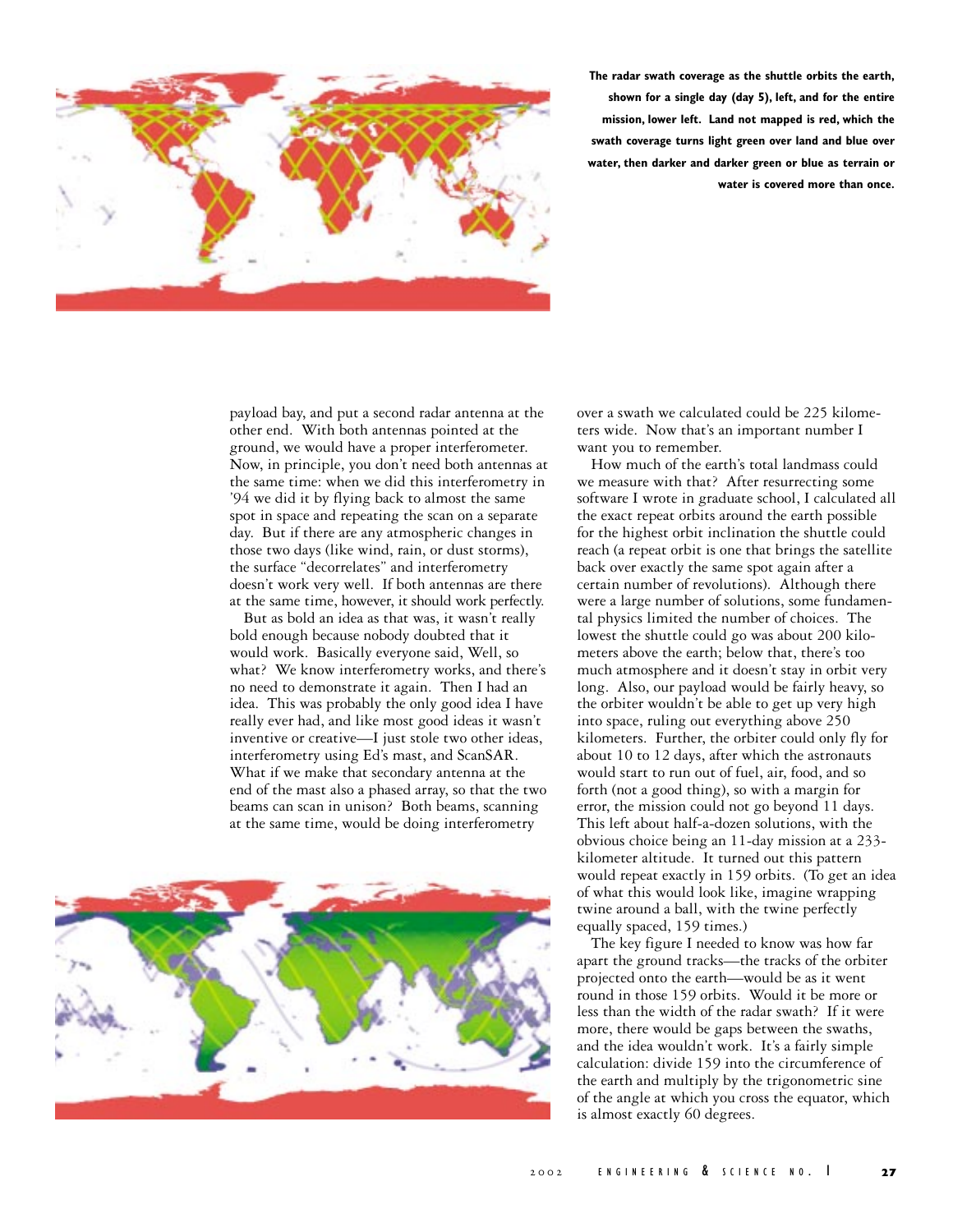

**The radar swath coverage as the shuttle orbits the earth, shown for a single day (day 5), left, and for the entire mission, lower left. Land not mapped is red, which the swath coverage turns light green over land and blue over water, then darker and darker green or blue as terrain or water is covered more than once.**

payload bay, and put a second radar antenna at the other end. With both antennas pointed at the ground, we would have a proper interferometer. Now, in principle, you don't need both antennas at the same time: when we did this interferometry in '94 we did it by flying back to almost the same spot in space and repeating the scan on a separate day. But if there are any atmospheric changes in those two days (like wind, rain, or dust storms), the surface "decorrelates" and interferometry doesn't work very well. If both antennas are there at the same time, however, it should work perfectly.

But as bold an idea as that was, it wasn't really bold enough because nobody doubted that it would work. Basically everyone said, Well, so what? We know interferometry works, and there's no need to demonstrate it again. Then I had an idea. This was probably the only good idea I have really ever had, and like most good ideas it wasn't inventive or creative—I just stole two other ideas, interferometry using Ed's mast, and ScanSAR. What if we make that secondary antenna at the end of the mast also a phased array, so that the two beams can scan in unison? Both beams, scanning at the same time, would be doing interferometry



over a swath we calculated could be 225 kilometers wide. Now that's an important number I want you to remember.

How much of the earth's total landmass could we measure with that? After resurrecting some software I wrote in graduate school, I calculated all the exact repeat orbits around the earth possible for the highest orbit inclination the shuttle could reach (a repeat orbit is one that brings the satellite back over exactly the same spot again after a certain number of revolutions). Although there were a large number of solutions, some fundamental physics limited the number of choices. The lowest the shuttle could go was about 200 kilometers above the earth; below that, there's too much atmosphere and it doesn't stay in orbit very long. Also, our payload would be fairly heavy, so the orbiter wouldn't be able to get up very high into space, ruling out everything above 250 kilometers. Further, the orbiter could only fly for about 10 to 12 days, after which the astronauts would start to run out of fuel, air, food, and so forth (not a good thing), so with a margin for error, the mission could not go beyond 11 days. This left about half-a-dozen solutions, with the obvious choice being an 11-day mission at a 233 kilometer altitude. It turned out this pattern would repeat exactly in 159 orbits. (To get an idea of what this would look like, imagine wrapping twine around a ball, with the twine perfectly equally spaced, 159 times.)

The key figure I needed to know was how far apart the ground tracks—the tracks of the orbiter projected onto the earth—would be as it went round in those 159 orbits. Would it be more or less than the width of the radar swath? If it were more, there would be gaps between the swaths, and the idea wouldn't work. It's a fairly simple calculation: divide 159 into the circumference of the earth and multiply by the trigonometric sine of the angle at which you cross the equator, which is almost exactly 60 degrees.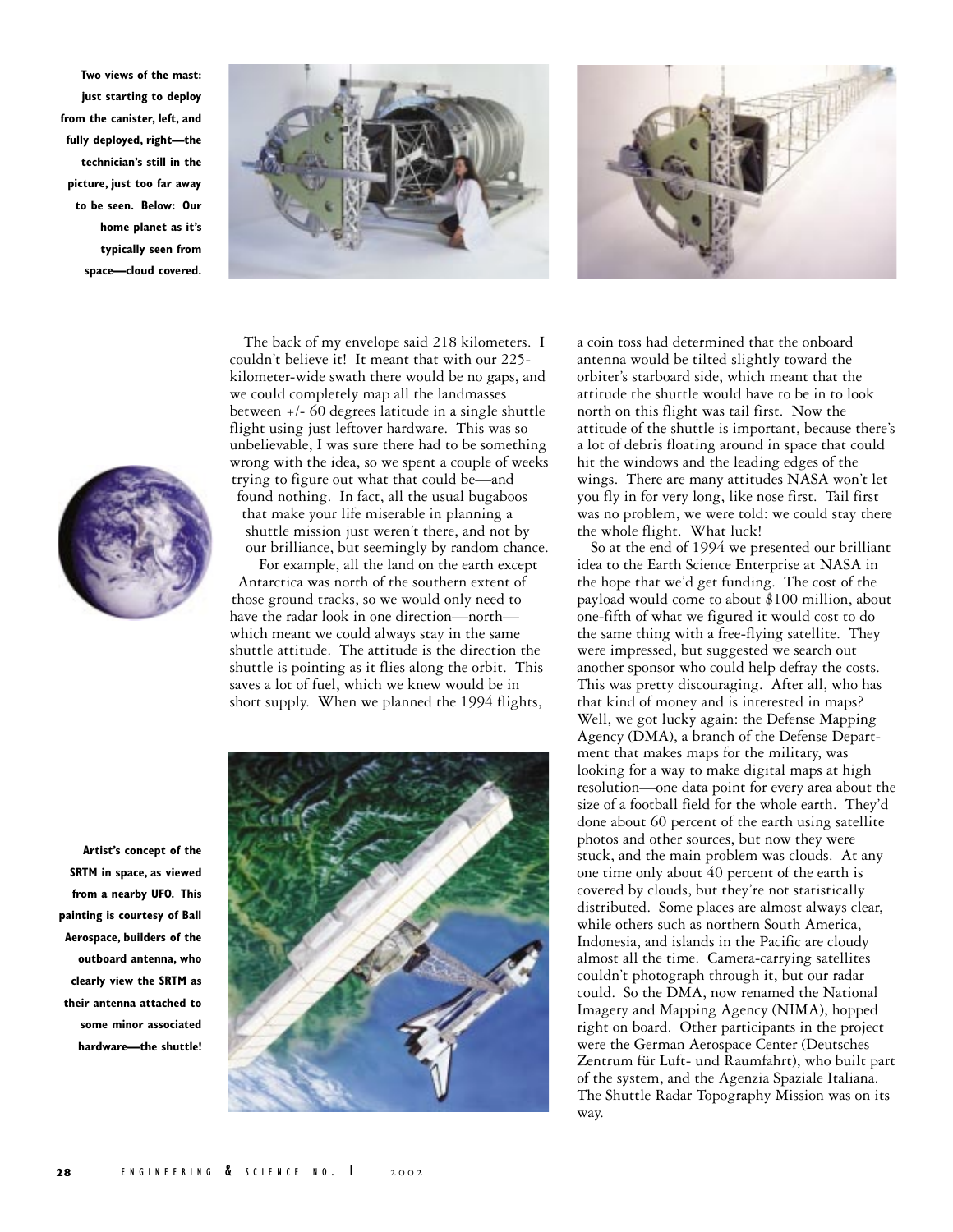**Two views of the mast: just starting to deploy from the canister, left, and fully deployed, right—the technician's still in the picture, just too far away to be seen. Below: Our home planet as it's typically seen from space—cloud covered.**







The back of my envelope said 218 kilometers. I couldn't believe it! It meant that with our 225 kilometer-wide swath there would be no gaps, and we could completely map all the landmasses between +/- 60 degrees latitude in a single shuttle flight using just leftover hardware. This was so unbelievable, I was sure there had to be something wrong with the idea, so we spent a couple of weeks trying to figure out what that could be—and found nothing. In fact, all the usual bugaboos that make your life miserable in planning a shuttle mission just weren't there, and not by our brilliance, but seemingly by random chance.

For example, all the land on the earth except Antarctica was north of the southern extent of those ground tracks, so we would only need to have the radar look in one direction—north which meant we could always stay in the same shuttle attitude. The attitude is the direction the shuttle is pointing as it flies along the orbit. This saves a lot of fuel, which we knew would be in short supply. When we planned the 1994 flights,

 **Artist's concept of the SRTM in space, as viewed from a nearby UFO. This painting is courtesy of Ball Aerospace, builders of the outboard antenna, who clearly view the SRTM as their antenna attached to some minor associated hardware—the shuttle!**



a coin toss had determined that the onboard antenna would be tilted slightly toward the orbiter's starboard side, which meant that the attitude the shuttle would have to be in to look north on this flight was tail first. Now the attitude of the shuttle is important, because there's a lot of debris floating around in space that could hit the windows and the leading edges of the wings. There are many attitudes NASA won't let you fly in for very long, like nose first. Tail first was no problem, we were told: we could stay there the whole flight. What luck!

So at the end of 1994 we presented our brilliant idea to the Earth Science Enterprise at NASA in the hope that we'd get funding. The cost of the payload would come to about \$100 million, about one-fifth of what we figured it would cost to do the same thing with a free-flying satellite. They were impressed, but suggested we search out another sponsor who could help defray the costs. This was pretty discouraging. After all, who has that kind of money and is interested in maps? Well, we got lucky again: the Defense Mapping Agency (DMA), a branch of the Defense Department that makes maps for the military, was looking for a way to make digital maps at high resolution—one data point for every area about the size of a football field for the whole earth. They'd done about 60 percent of the earth using satellite photos and other sources, but now they were stuck, and the main problem was clouds. At any one time only about 40 percent of the earth is covered by clouds, but they're not statistically distributed. Some places are almost always clear, while others such as northern South America, Indonesia, and islands in the Pacific are cloudy almost all the time. Camera-carrying satellites couldn't photograph through it, but our radar could. So the DMA, now renamed the National Imagery and Mapping Agency (NIMA), hopped right on board. Other participants in the project were the German Aerospace Center (Deutsches Zentrum für Luft- und Raumfahrt), who built part of the system, and the Agenzia Spaziale Italiana. The Shuttle Radar Topography Mission was on its way.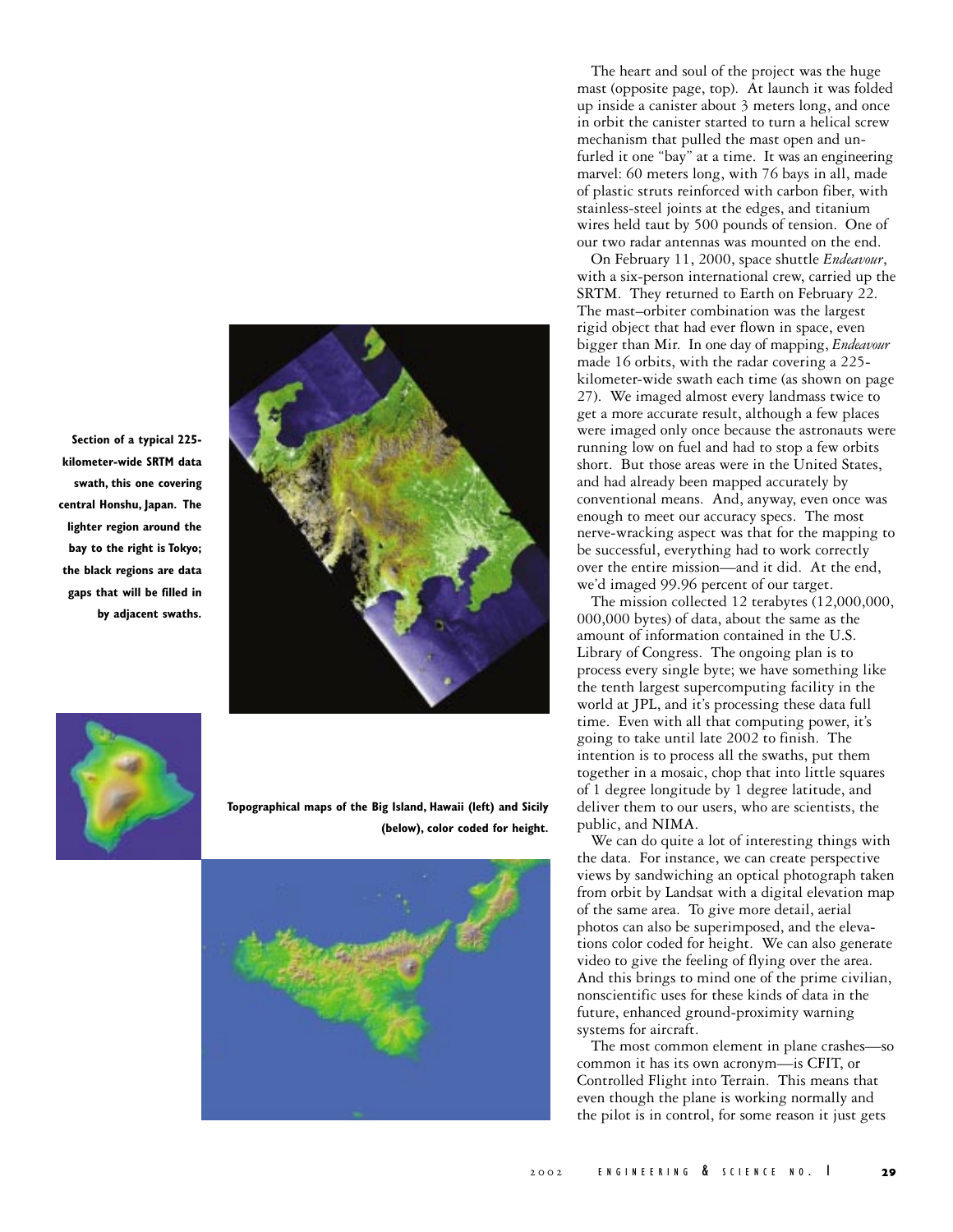**Section of a typical 225 kilometer-wide SRTM data swath, this one covering central Honshu, Japan. The lighter region around the bay to the right is Tokyo; the black regions are data gaps that will be filled in by adjacent swaths.**





**Topographical maps of the Big Island, Hawaii (left) and Sicily (below), color coded for height.**



The heart and soul of the project was the huge mast (opposite page, top). At launch it was folded up inside a canister about 3 meters long, and once in orbit the canister started to turn a helical screw mechanism that pulled the mast open and unfurled it one "bay" at a time. It was an engineering marvel: 60 meters long, with 76 bays in all, made of plastic struts reinforced with carbon fiber, with stainless-steel joints at the edges, and titanium wires held taut by 500 pounds of tension. One of our two radar antennas was mounted on the end.

On February 11, 2000, space shuttle *Endeavour*, with a six-person international crew, carried up the SRTM. They returned to Earth on February 22. The mast–orbiter combination was the largest rigid object that had ever flown in space, even bigger than Mir. In one day of mapping, *Endeavour* made 16 orbits, with the radar covering a 225 kilometer-wide swath each time (as shown on page 27). We imaged almost every landmass twice to get a more accurate result, although a few places were imaged only once because the astronauts were running low on fuel and had to stop a few orbits short. But those areas were in the United States, and had already been mapped accurately by conventional means. And, anyway, even once was enough to meet our accuracy specs. The most nerve-wracking aspect was that for the mapping to be successful, everything had to work correctly over the entire mission—and it did. At the end, we'd imaged 99.96 percent of our target.

The mission collected 12 terabytes (12,000,000, 000,000 bytes) of data, about the same as the amount of information contained in the U.S. Library of Congress. The ongoing plan is to process every single byte; we have something like the tenth largest supercomputing facility in the world at JPL, and it's processing these data full time. Even with all that computing power, it's going to take until late 2002 to finish. The intention is to process all the swaths, put them together in a mosaic, chop that into little squares of 1 degree longitude by 1 degree latitude, and deliver them to our users, who are scientists, the public, and NIMA.

We can do quite a lot of interesting things with the data. For instance, we can create perspective views by sandwiching an optical photograph taken from orbit by Landsat with a digital elevation map of the same area. To give more detail, aerial photos can also be superimposed, and the elevations color coded for height. We can also generate video to give the feeling of flying over the area. And this brings to mind one of the prime civilian, nonscientific uses for these kinds of data in the future, enhanced ground-proximity warning systems for aircraft.

The most common element in plane crashes—so common it has its own acronym—is CFIT, or Controlled Flight into Terrain. This means that even though the plane is working normally and the pilot is in control, for some reason it just gets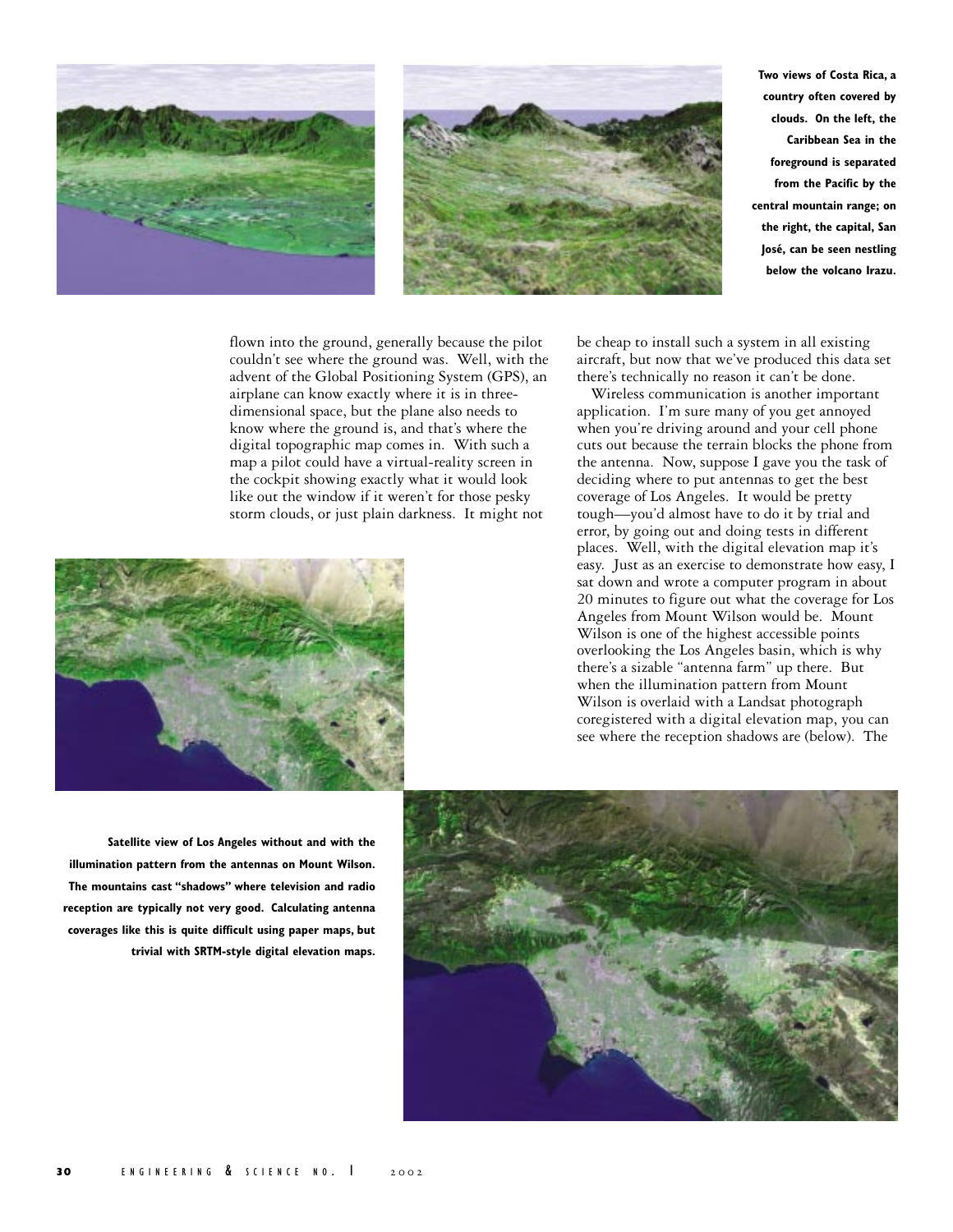



**Two views of Costa Rica, a country often covered by clouds. On the left, the Caribbean Sea in the foreground is separated from the Pacific by the central mountain range; on the right, the capital, San José, can be seen nestling below the volcano Irazu.**

flown into the ground, generally because the pilot couldn't see where the ground was. Well, with the advent of the Global Positioning System (GPS), an airplane can know exactly where it is in threedimensional space, but the plane also needs to know where the ground is, and that's where the digital topographic map comes in. With such a map a pilot could have a virtual-reality screen in the cockpit showing exactly what it would look like out the window if it weren't for those pesky storm clouds, or just plain darkness. It might not



be cheap to install such a system in all existing aircraft, but now that we've produced this data set there's technically no reason it can't be done.

Wireless communication is another important application. I'm sure many of you get annoyed when you're driving around and your cell phone cuts out because the terrain blocks the phone from the antenna. Now, suppose I gave you the task of deciding where to put antennas to get the best coverage of Los Angeles. It would be pretty tough—you'd almost have to do it by trial and error, by going out and doing tests in different places. Well, with the digital elevation map it's easy. Just as an exercise to demonstrate how easy, I sat down and wrote a computer program in about 20 minutes to figure out what the coverage for Los Angeles from Mount Wilson would be. Mount Wilson is one of the highest accessible points overlooking the Los Angeles basin, which is why there's a sizable "antenna farm" up there. But when the illumination pattern from Mount Wilson is overlaid with a Landsat photograph coregistered with a digital elevation map, you can see where the reception shadows are (below). The

**Satellite view of Los Angeles without and with the illumination pattern from the antennas on Mount Wilson. The mountains cast "shadows" where television and radio reception are typically not very good. Calculating antenna coverages like this is quite difficult using paper maps, but trivial with SRTM-style digital elevation maps.**